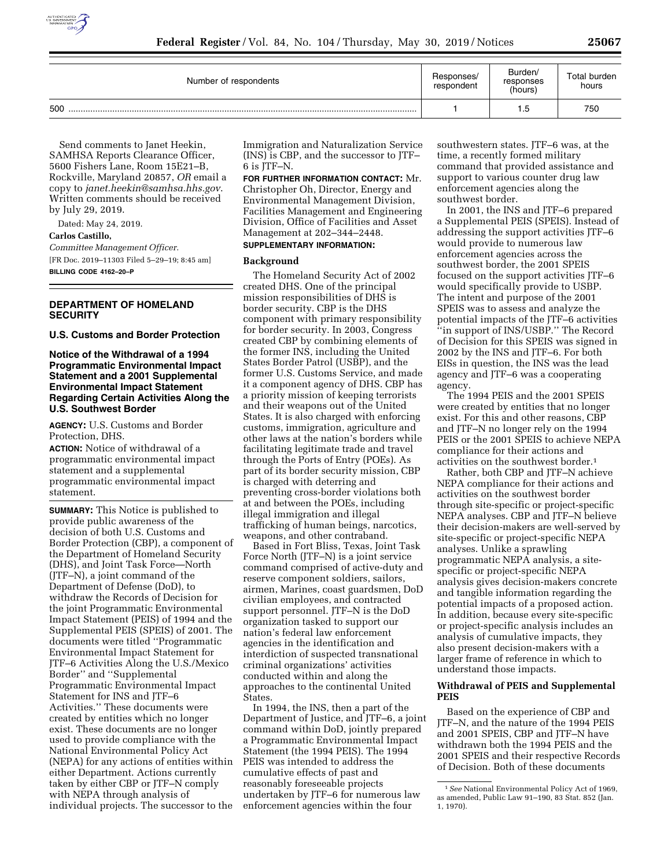

| Number of respondents | Responses/<br>respondent | Burden/<br>responses<br>(hours) | Total burden<br>hours |
|-----------------------|--------------------------|---------------------------------|-----------------------|
| 500                   |                          | 1.5                             | 750                   |

Send comments to Janet Heekin, SAMHSA Reports Clearance Officer, 5600 Fishers Lane, Room 15E21–B, Rockville, Maryland 20857, *OR* email a copy to *[janet.heekin@samhsa.hhs.gov](mailto:janet.heekin@samhsa.hhs.gov)*. Written comments should be received by July 29, 2019.

Dated: May 24, 2019. **Carlos Castillo,**  *Committee Management Officer.*  [FR Doc. 2019–11303 Filed 5–29–19; 8:45 am] **BILLING CODE 4162–20–P** 

# **DEPARTMENT OF HOMELAND SECURITY**

**U.S. Customs and Border Protection** 

## **Notice of the Withdrawal of a 1994 Programmatic Environmental Impact Statement and a 2001 Supplemental Environmental Impact Statement Regarding Certain Activities Along the U.S. Southwest Border**

**AGENCY:** U.S. Customs and Border Protection, DHS.

**ACTION:** Notice of withdrawal of a programmatic environmental impact statement and a supplemental programmatic environmental impact statement.

**SUMMARY:** This Notice is published to provide public awareness of the decision of both U.S. Customs and Border Protection (CBP), a component of the Department of Homeland Security (DHS), and Joint Task Force—North (JTF–N), a joint command of the Department of Defense (DoD), to withdraw the Records of Decision for the joint Programmatic Environmental Impact Statement (PEIS) of 1994 and the Supplemental PEIS (SPEIS) of 2001. The documents were titled ''Programmatic Environmental Impact Statement for JTF–6 Activities Along the U.S./Mexico Border'' and ''Supplemental Programmatic Environmental Impact Statement for INS and JTF–6 Activities.'' These documents were created by entities which no longer exist. These documents are no longer used to provide compliance with the National Environmental Policy Act (NEPA) for any actions of entities within either Department. Actions currently taken by either CBP or JTF–N comply with NEPA through analysis of individual projects. The successor to the

Immigration and Naturalization Service (INS) is CBP, and the successor to JTF– 6 is JTF–N.

**FOR FURTHER INFORMATION CONTACT:** Mr. Christopher Oh, Director, Energy and Environmental Management Division, Facilities Management and Engineering Division, Office of Facilities and Asset Management at 202–344–2448.

# **SUPPLEMENTARY INFORMATION:**

### **Background**

The Homeland Security Act of 2002 created DHS. One of the principal mission responsibilities of DHS is border security. CBP is the DHS component with primary responsibility for border security. In 2003, Congress created CBP by combining elements of the former INS, including the United States Border Patrol (USBP), and the former U.S. Customs Service, and made it a component agency of DHS. CBP has a priority mission of keeping terrorists and their weapons out of the United States. It is also charged with enforcing customs, immigration, agriculture and other laws at the nation's borders while facilitating legitimate trade and travel through the Ports of Entry (POEs). As part of its border security mission, CBP is charged with deterring and preventing cross-border violations both at and between the POEs, including illegal immigration and illegal trafficking of human beings, narcotics, weapons, and other contraband.

Based in Fort Bliss, Texas, Joint Task Force North (JTF–N) is a joint service command comprised of active-duty and reserve component soldiers, sailors, airmen, Marines, coast guardsmen, DoD civilian employees, and contracted support personnel. JTF–N is the DoD organization tasked to support our nation's federal law enforcement agencies in the identification and interdiction of suspected transnational criminal organizations' activities conducted within and along the approaches to the continental United States.

In 1994, the INS, then a part of the Department of Justice, and JTF–6, a joint command within DoD, jointly prepared a Programmatic Environmental Impact Statement (the 1994 PEIS). The 1994 PEIS was intended to address the cumulative effects of past and reasonably foreseeable projects undertaken by JTF–6 for numerous law enforcement agencies within the four

southwestern states. JTF–6 was, at the time, a recently formed military command that provided assistance and support to various counter drug law enforcement agencies along the southwest border.

In 2001, the INS and JTF–6 prepared a Supplemental PEIS (SPEIS). Instead of addressing the support activities JTF–6 would provide to numerous law enforcement agencies across the southwest border, the 2001 SPEIS focused on the support activities JTF–6 would specifically provide to USBP. The intent and purpose of the 2001 SPEIS was to assess and analyze the potential impacts of the JTF–6 activities ''in support of INS/USBP.'' The Record of Decision for this SPEIS was signed in 2002 by the INS and JTF–6. For both EISs in question, the INS was the lead agency and JTF–6 was a cooperating agency.

The 1994 PEIS and the 2001 SPEIS were created by entities that no longer exist. For this and other reasons, CBP and JTF–N no longer rely on the 1994 PEIS or the 2001 SPEIS to achieve NEPA compliance for their actions and activities on the southwest border.1

Rather, both CBP and JTF–N achieve NEPA compliance for their actions and activities on the southwest border through site-specific or project-specific NEPA analyses. CBP and JTF–N believe their decision-makers are well-served by site-specific or project-specific NEPA analyses. Unlike a sprawling programmatic NEPA analysis, a sitespecific or project-specific NEPA analysis gives decision-makers concrete and tangible information regarding the potential impacts of a proposed action. In addition, because every site-specific or project-specific analysis includes an analysis of cumulative impacts, they also present decision-makers with a larger frame of reference in which to understand those impacts.

# **Withdrawal of PEIS and Supplemental PEIS**

Based on the experience of CBP and JTF–N, and the nature of the 1994 PEIS and 2001 SPEIS, CBP and JTF–N have withdrawn both the 1994 PEIS and the 2001 SPEIS and their respective Records of Decision. Both of these documents

<sup>1</sup>*See* National Environmental Policy Act of 1969, as amended, Public Law 91–190, 83 Stat. 852 (Jan. 1, 1970).